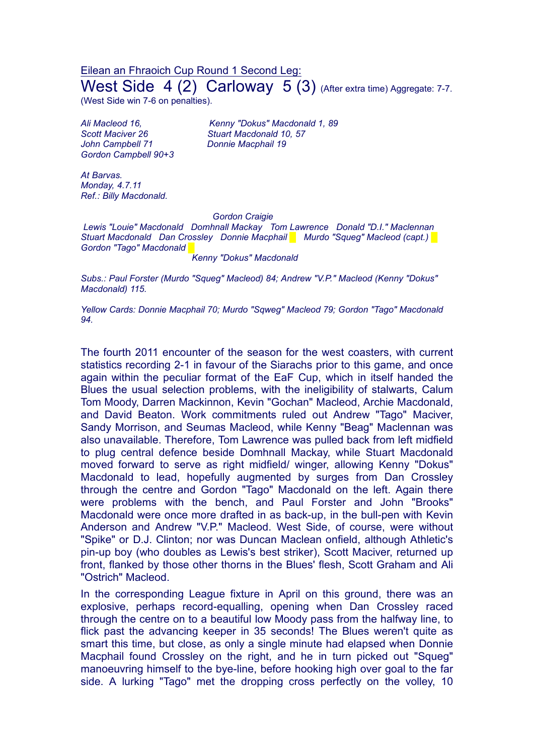Eilean an Fhraoich Cup Round 1 Second Leg: West Side 4 (2) Carloway 5 (3) (After extra time) Aggregate: 7-7.

(West Side win 7-6 on penalties).

*John Campbell 71 Donnie Macphail 19 Gordon Campbell 90+3*

*Ali Macleod 16, Kenny "Dokus" Macdonald 1, 89 Scott Maciver 26 Stuart Macdonald 10, 57*

*At Barvas. Monday, 4.7.11 Ref.: Billy Macdonald.*

## *Gordon Craigie*

*Lewis "Louie" Macdonald Domhnall Mackay Tom Lawrence Donald "D.I." Maclennan Stuart Macdonald Dan Crossley Donnie Macphail █ Murdo "Squeg" Macleod (capt.) █*  $Gordon$  *"Tago" Macdonald* 

*Kenny "Dokus" Macdonald*

*Subs.: Paul Forster (Murdo "Squeg" Macleod) 84; Andrew "V.P." Macleod (Kenny "Dokus" Macdonald) 115.*

*Yellow Cards: Donnie Macphail 70; Murdo "Sqweg" Macleod 79; Gordon "Tago" Macdonald 94.*

The fourth 2011 encounter of the season for the west coasters, with current statistics recording 2-1 in favour of the Siarachs prior to this game, and once again within the peculiar format of the EaF Cup, which in itself handed the Blues the usual selection problems, with the ineligibility of stalwarts, Calum Tom Moody, Darren Mackinnon, Kevin "Gochan" Macleod, Archie Macdonald, and David Beaton. Work commitments ruled out Andrew "Tago" Maciver, Sandy Morrison, and Seumas Macleod, while Kenny "Beag" Maclennan was also unavailable. Therefore, Tom Lawrence was pulled back from left midfield to plug central defence beside Domhnall Mackay, while Stuart Macdonald moved forward to serve as right midfield/ winger, allowing Kenny "Dokus" Macdonald to lead, hopefully augmented by surges from Dan Crossley through the centre and Gordon "Tago" Macdonald on the left. Again there were problems with the bench, and Paul Forster and John "Brooks" Macdonald were once more drafted in as back-up, in the bull-pen with Kevin Anderson and Andrew "V.P." Macleod. West Side, of course, were without "Spike" or D.J. Clinton; nor was Duncan Maclean onfield, although Athletic's pin-up boy (who doubles as Lewis's best striker), Scott Maciver, returned up front, flanked by those other thorns in the Blues' flesh, Scott Graham and Ali "Ostrich" Macleod.

In the corresponding League fixture in April on this ground, there was an explosive, perhaps record-equalling, opening when Dan Crossley raced through the centre on to a beautiful low Moody pass from the halfway line, to flick past the advancing keeper in 35 seconds! The Blues weren't quite as smart this time, but close, as only a single minute had elapsed when Donnie Macphail found Crossley on the right, and he in turn picked out "Squeg" manoeuvring himself to the bye-line, before hooking high over goal to the far side. A lurking "Tago" met the dropping cross perfectly on the volley, 10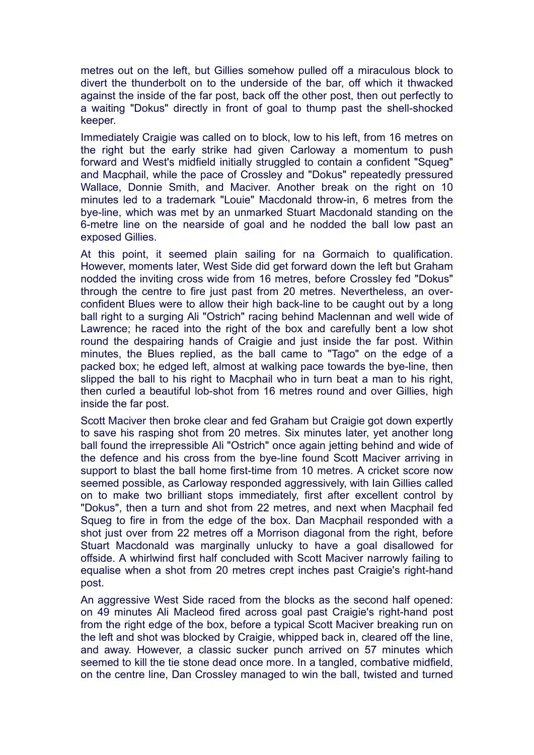metres out on the left, but Gillies somehow pulled off a miraculous block to divert the thunderbolt on to the underside of the bar, off which it thwacked against the inside of the far post, back off the other post, then out perfectly to a waiting "Dokus" directly in front of goal to thump past the shell-shocked keeper.

Immediately Craigie was called on to block, low to his left, from 16 metres on the right but the early strike had given Carloway a momentum to push forward and West's midfield initially struggled to contain a confident "Squeg" and Macphail, while the pace of Crossley and "Dokus" repeatedly pressured Wallace, Donnie Smith, and Maciver. Another break on the right on 10 minutes led to a trademark "Louie" Macdonald throw-in, 6 metres from the bye-line, which was met by an unmarked Stuart Macdonald standing on the 6-metre line on the nearside of goal and he nodded the ball low past an exposed Gillies.

At this point, it seemed plain sailing for na Gormaich to qualification. However, moments later, West Side did get forward down the left but Graham nodded the inviting cross wide from 16 metres, before Crossley fed "Dokus" through the centre to fire just past from 20 metres. Nevertheless, an overconfident Blues were to allow their high back-line to be caught out by a long ball right to a surging Ali "Ostrich" racing behind Maclennan and well wide of Lawrence; he raced into the right of the box and carefully bent a low shot round the despairing hands of Craigie and just inside the far post. Within minutes, the Blues replied, as the ball came to "Tago" on the edge of a packed box; he edged left, almost at walking pace towards the bye-line, then slipped the ball to his right to Macphail who in turn beat a man to his right, then curled a beautiful lob-shot from 16 metres round and over Gillies, high inside the far post.

Scott Maciver then broke clear and fed Graham but Craigie got down expertly to save his rasping shot from 20 metres. Six minutes later, yet another long ball found the irrepressible Ali "Ostrich" once again jetting behind and wide of the defence and his cross from the bye-line found Scott Maciver arriving in support to blast the ball home first-time from 10 metres. A cricket score now seemed possible, as Carloway responded aggressively, with Iain Gillies called on to make two brilliant stops immediately, first after excellent control by "Dokus", then a turn and shot from 22 metres, and next when Macphail fed Squeg to fire in from the edge of the box. Dan Macphail responded with a shot just over from 22 metres off a Morrison diagonal from the right, before Stuart Macdonald was marginally unlucky to have a goal disallowed for offside. A whirlwind first half concluded with Scott Maciver narrowly failing to equalise when a shot from 20 metres crept inches past Craigie's right-hand post.

An aggressive West Side raced from the blocks as the second half opened: on 49 minutes Ali Macleod fired across goal past Craigie's right-hand post from the right edge of the box, before a typical Scott Maciver breaking run on the left and shot was blocked by Craigie, whipped back in, cleared off the line, and away. However, a classic sucker punch arrived on 57 minutes which seemed to kill the tie stone dead once more. In a tangled, combative midfield, on the centre line, Dan Crossley managed to win the ball, twisted and turned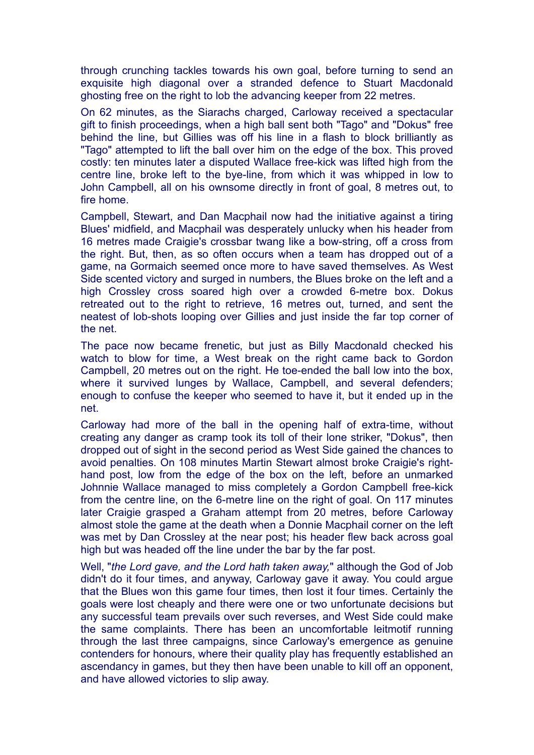through crunching tackles towards his own goal, before turning to send an exquisite high diagonal over a stranded defence to Stuart Macdonald ghosting free on the right to lob the advancing keeper from 22 metres.

On 62 minutes, as the Siarachs charged, Carloway received a spectacular gift to finish proceedings, when a high ball sent both "Tago" and "Dokus" free behind the line, but Gillies was off his line in a flash to block brilliantly as "Tago" attempted to lift the ball over him on the edge of the box. This proved costly: ten minutes later a disputed Wallace free-kick was lifted high from the centre line, broke left to the bye-line, from which it was whipped in low to John Campbell, all on his ownsome directly in front of goal, 8 metres out, to fire home.

Campbell, Stewart, and Dan Macphail now had the initiative against a tiring Blues' midfield, and Macphail was desperately unlucky when his header from 16 metres made Craigie's crossbar twang like a bow-string, off a cross from the right. But, then, as so often occurs when a team has dropped out of a game, na Gormaich seemed once more to have saved themselves. As West Side scented victory and surged in numbers, the Blues broke on the left and a high Crossley cross soared high over a crowded 6-metre box. Dokus retreated out to the right to retrieve, 16 metres out, turned, and sent the neatest of lob-shots looping over Gillies and just inside the far top corner of the net.

The pace now became frenetic, but just as Billy Macdonald checked his watch to blow for time, a West break on the right came back to Gordon Campbell, 20 metres out on the right. He toe-ended the ball low into the box, where it survived lunges by Wallace, Campbell, and several defenders; enough to confuse the keeper who seemed to have it, but it ended up in the net.

Carloway had more of the ball in the opening half of extra-time, without creating any danger as cramp took its toll of their lone striker, "Dokus", then dropped out of sight in the second period as West Side gained the chances to avoid penalties. On 108 minutes Martin Stewart almost broke Craigie's righthand post, low from the edge of the box on the left, before an unmarked Johnnie Wallace managed to miss completely a Gordon Campbell free-kick from the centre line, on the 6-metre line on the right of goal. On 117 minutes later Craigie grasped a Graham attempt from 20 metres, before Carloway almost stole the game at the death when a Donnie Macphail corner on the left was met by Dan Crossley at the near post; his header flew back across goal high but was headed off the line under the bar by the far post.

Well, "*the Lord gave, and the Lord hath taken away,*" although the God of Job didn't do it four times, and anyway, Carloway gave it away. You could argue that the Blues won this game four times, then lost it four times. Certainly the goals were lost cheaply and there were one or two unfortunate decisions but any successful team prevails over such reverses, and West Side could make the same complaints. There has been an uncomfortable leitmotif running through the last three campaigns, since Carloway's emergence as genuine contenders for honours, where their quality play has frequently established an ascendancy in games, but they then have been unable to kill off an opponent, and have allowed victories to slip away.